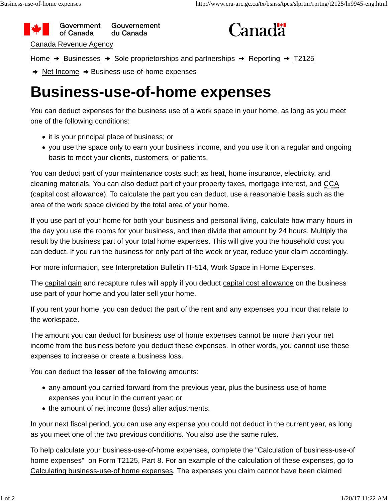



Home  $\rightarrow$  Businesses  $\rightarrow$  Sole proprietorships and partnerships  $\rightarrow$  Reporting  $\rightarrow$  T2125

 $\rightarrow$  Net Income  $\rightarrow$  Business-use-of-home expenses

## **Business-use-of-home expenses**

You can deduct expenses for the business use of a work space in your home, as long as you meet one of the following conditions:

- it is your principal place of business; or
- you use the space only to earn your business income, and you use it on a regular and ongoing basis to meet your clients, customers, or patients.

You can deduct part of your maintenance costs such as heat, home insurance, electricity, and cleaning materials. You can also deduct part of your property taxes, mortgage interest, and CCA (capital cost allowance). To calculate the part you can deduct, use a reasonable basis such as the area of the work space divided by the total area of your home.

If you use part of your home for both your business and personal living, calculate how many hours in the day you use the rooms for your business, and then divide that amount by 24 hours. Multiply the result by the business part of your total home expenses. This will give you the household cost you can deduct. If you run the business for only part of the week or year, reduce your claim accordingly.

For more information, see Interpretation Bulletin IT-514, Work Space in Home Expenses.

The capital gain and recapture rules will apply if you deduct capital cost allowance on the business use part of your home and you later sell your home.

If you rent your home, you can deduct the part of the rent and any expenses you incur that relate to the workspace.

The amount you can deduct for business use of home expenses cannot be more than your net income from the business before you deduct these expenses. In other words, you cannot use these expenses to increase or create a business loss.

You can deduct the **lesser of** the following amounts:

- any amount you carried forward from the previous year, plus the business use of home expenses you incur in the current year; or
- the amount of net income (loss) after adjustments.

In your next fiscal period, you can use any expense you could not deduct in the current year, as long as you meet one of the two previous conditions. You also use the same rules.

To help calculate your business-use-of-home expenses, complete the "Calculation of business-use-of home expenses" on Form T2125, Part 8. For an example of the calculation of these expenses, go to Calculating business-use-of home expenses. The expenses you claim cannot have been claimed